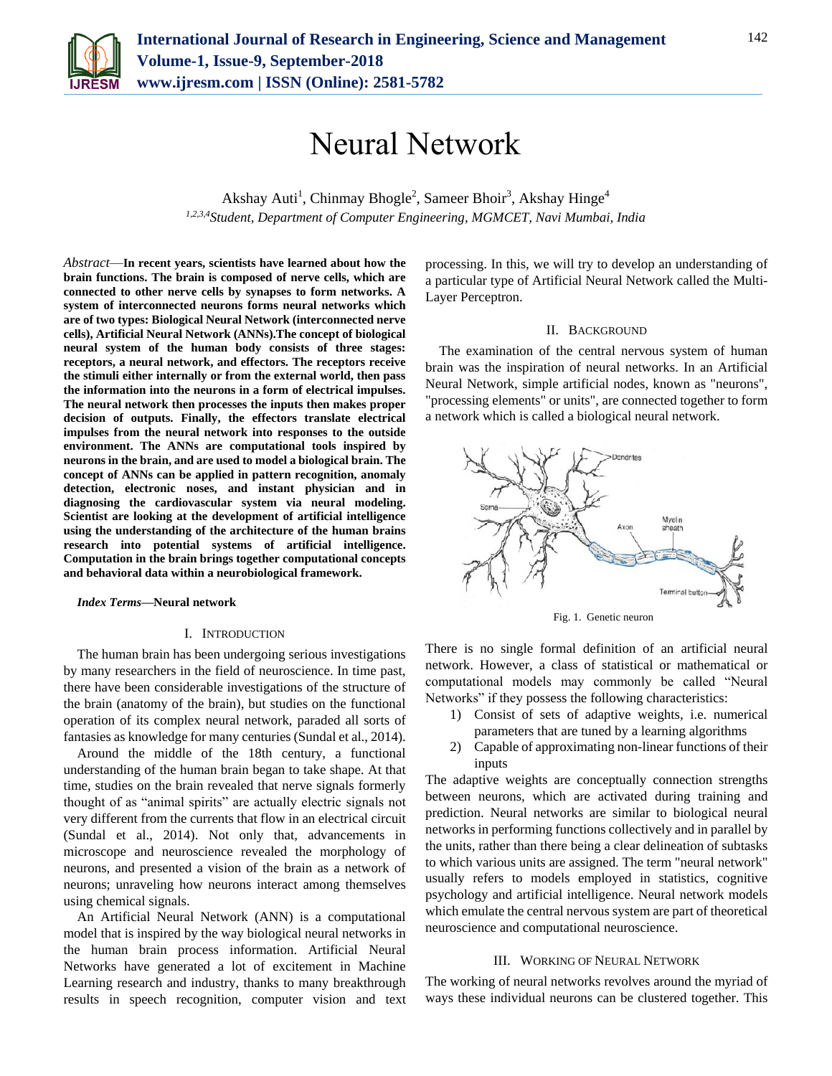

# Neural Network

Akshay Auti<sup>1</sup>, Chinmay Bhogle<sup>2</sup>, Sameer Bhoir<sup>3</sup>, Akshay Hinge<sup>4</sup> *1,2,3,4Student, Department of Computer Engineering, MGMCET, Navi Mumbai, India*

*Abstract*—**In recent years, scientists have learned about how the brain functions. The brain is composed of nerve cells, which are connected to other nerve cells by synapses to form networks. A system of interconnected neurons forms neural networks which are of two types: Biological Neural Network (interconnected nerve cells), Artificial Neural Network (ANNs).The concept of biological neural system of the human body consists of three stages: receptors, a neural network, and effectors. The receptors receive the stimuli either internally or from the external world, then pass the information into the neurons in a form of electrical impulses. The neural network then processes the inputs then makes proper decision of outputs. Finally, the effectors translate electrical impulses from the neural network into responses to the outside environment. The ANNs are computational tools inspired by neurons in the brain, and are used to model a biological brain. The concept of ANNs can be applied in pattern recognition, anomaly detection, electronic noses, and instant physician and in diagnosing the cardiovascular system via neural modeling. Scientist are looking at the development of artificial intelligence using the understanding of the architecture of the human brains research into potential systems of artificial intelligence. Computation in the brain brings together computational concepts and behavioral data within a neurobiological framework.** 

#### *Index Terms***—Neural network**

## I. INTRODUCTION

The human brain has been undergoing serious investigations by many researchers in the field of neuroscience. In time past, there have been considerable investigations of the structure of the brain (anatomy of the brain), but studies on the functional operation of its complex neural network, paraded all sorts of fantasies as knowledge for many centuries (Sundal et al., 2014).

Around the middle of the 18th century, a functional understanding of the human brain began to take shape. At that time, studies on the brain revealed that nerve signals formerly thought of as "animal spirits" are actually electric signals not very different from the currents that flow in an electrical circuit (Sundal et al., 2014). Not only that, advancements in microscope and neuroscience revealed the morphology of neurons, and presented a vision of the brain as a network of neurons; unraveling how neurons interact among themselves using chemical signals.

An Artificial Neural Network (ANN) is a computational model that is inspired by the way biological neural networks in the human brain process information. Artificial Neural Networks have generated a lot of excitement in Machine Learning research and industry, thanks to many breakthrough results in speech recognition, computer vision and text

processing. In this, we will try to develop an understanding of a particular type of Artificial Neural Network called the Multi-Layer Perceptron.

#### II. BACKGROUND

The examination of the central nervous system of human brain was the inspiration of neural networks. In an Artificial Neural Network, simple artificial nodes, known as "neurons", "processing elements" or units", are connected together to form a network which is called a biological neural network.



Fig. 1. Genetic neuron

There is no single formal definition of an artificial neural network. However, a class of statistical or mathematical or computational models may commonly be called "Neural Networks" if they possess the following characteristics:

- 1) Consist of sets of adaptive weights, i.e. numerical parameters that are tuned by a learning algorithms
- 2) Capable of approximating non-linear functions of their inputs

The adaptive weights are conceptually connection strengths between neurons, which are activated during training and prediction. Neural networks are similar to biological neural networks in performing functions collectively and in parallel by the units, rather than there being a clear delineation of subtasks to which various units are assigned. The term "neural network" usually refers to models employed in statistics, cognitive psychology and artificial intelligence. Neural network models which emulate the central nervous system are part of theoretical neuroscience and computational neuroscience.

### III. WORKING OF NEURAL NETWORK

The working of neural networks revolves around the myriad of ways these individual neurons can be clustered together. This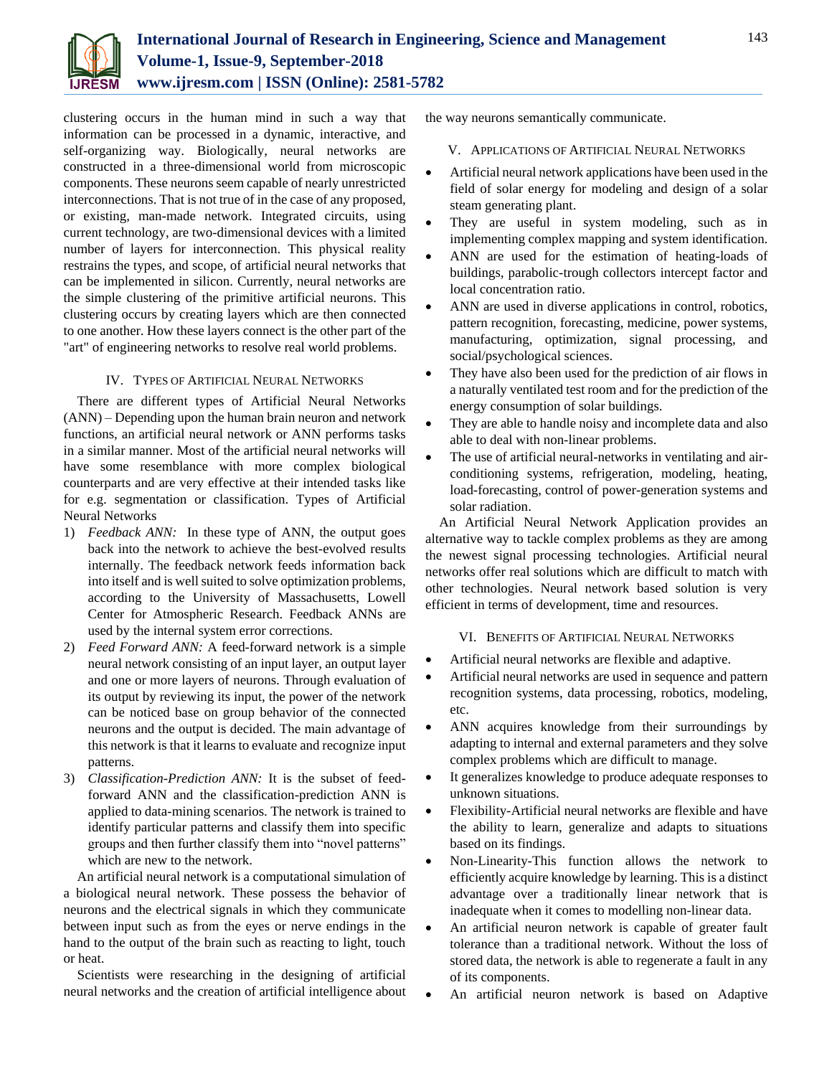

clustering occurs in the human mind in such a way that information can be processed in a dynamic, interactive, and self-organizing way. Biologically, neural networks are constructed in a three-dimensional world from microscopic components. These neurons seem capable of nearly unrestricted interconnections. That is not true of in the case of any proposed, or existing, man-made network. Integrated circuits, using current technology, are two-dimensional devices with a limited number of layers for interconnection. This physical reality restrains the types, and scope, of artificial neural networks that can be implemented in silicon. Currently, neural networks are the simple clustering of the primitive artificial neurons. This clustering occurs by creating layers which are then connected to one another. How these layers connect is the other part of the "art" of engineering networks to resolve real world problems.

## IV. TYPES OF ARTIFICIAL NEURAL NETWORKS

There are different types of Artificial Neural Networks (ANN) – Depending upon the human brain neuron and network functions, an artificial neural network or ANN performs tasks in a similar manner. Most of the artificial neural networks will have some resemblance with more complex biological counterparts and are very effective at their intended tasks like for e.g. segmentation or classification. Types of Artificial Neural Networks

- 1) *Feedback ANN:* In these type of ANN, the output goes back into the network to achieve the best-evolved results internally. The feedback network feeds information back into itself and is well suited to solve optimization problems, according to the University of Massachusetts, Lowell Center for Atmospheric Research. Feedback ANNs are used by the internal system error corrections.
- 2) *Feed Forward ANN:* A feed-forward network is a simple neural network consisting of an input layer, an output layer and one or more layers of neurons. Through evaluation of its output by reviewing its input, the power of the network can be noticed base on group behavior of the connected neurons and the output is decided. The main advantage of this network is that it learns to evaluate and recognize input patterns.
- 3) *Classification-Prediction ANN:* It is the subset of feedforward ANN and the classification-prediction ANN is applied to data-mining scenarios. The network is trained to identify particular patterns and classify them into specific groups and then further classify them into "novel patterns" which are new to the network.

An artificial neural network is a computational simulation of a biological neural network. These possess the behavior of neurons and the electrical signals in which they communicate between input such as from the eyes or nerve endings in the hand to the output of the brain such as reacting to light, touch or heat.

Scientists were researching in the designing of artificial neural networks and the creation of artificial intelligence about the way neurons semantically communicate.

## V. APPLICATIONS OF ARTIFICIAL NEURAL NETWORKS

- Artificial neural network applications have been used in the field of solar energy for modeling and design of a solar steam generating plant.
- They are useful in system modeling, such as in implementing complex mapping and system identification.
- ANN are used for the estimation of heating-loads of buildings, parabolic-trough collectors intercept factor and local concentration ratio.
- ANN are used in diverse applications in control, robotics, pattern recognition, forecasting, medicine, power systems, manufacturing, optimization, signal processing, and social/psychological sciences.
- They have also been used for the prediction of air flows in a naturally ventilated test room and for the prediction of the energy consumption of solar buildings.
- They are able to handle noisy and incomplete data and also able to deal with non-linear problems.
- The use of artificial neural-networks in ventilating and airconditioning systems, refrigeration, modeling, heating, load-forecasting, control of power-generation systems and solar radiation.

An Artificial Neural Network Application provides an alternative way to tackle complex problems as they are among the newest signal processing technologies. Artificial neural networks offer real solutions which are difficult to match with other technologies. Neural network based solution is very efficient in terms of development, time and resources.

#### VI. BENEFITS OF ARTIFICIAL NEURAL NETWORKS

- Artificial neural networks are flexible and adaptive.
- Artificial neural networks are used in sequence and pattern recognition systems, data processing, robotics, modeling, etc.
- ANN acquires knowledge from their surroundings by adapting to internal and external parameters and they solve complex problems which are difficult to manage.
- It generalizes knowledge to produce adequate responses to unknown situations.
- Flexibility-Artificial neural networks are flexible and have the ability to learn, generalize and adapts to situations based on its findings.
- Non-Linearity-This function allows the network to efficiently acquire knowledge by learning. This is a distinct advantage over a traditionally linear network that is inadequate when it comes to modelling non-linear data.
- An artificial neuron network is capable of greater fault tolerance than a traditional network. Without the loss of stored data, the network is able to regenerate a fault in any of its components.
- An artificial neuron network is based on Adaptive